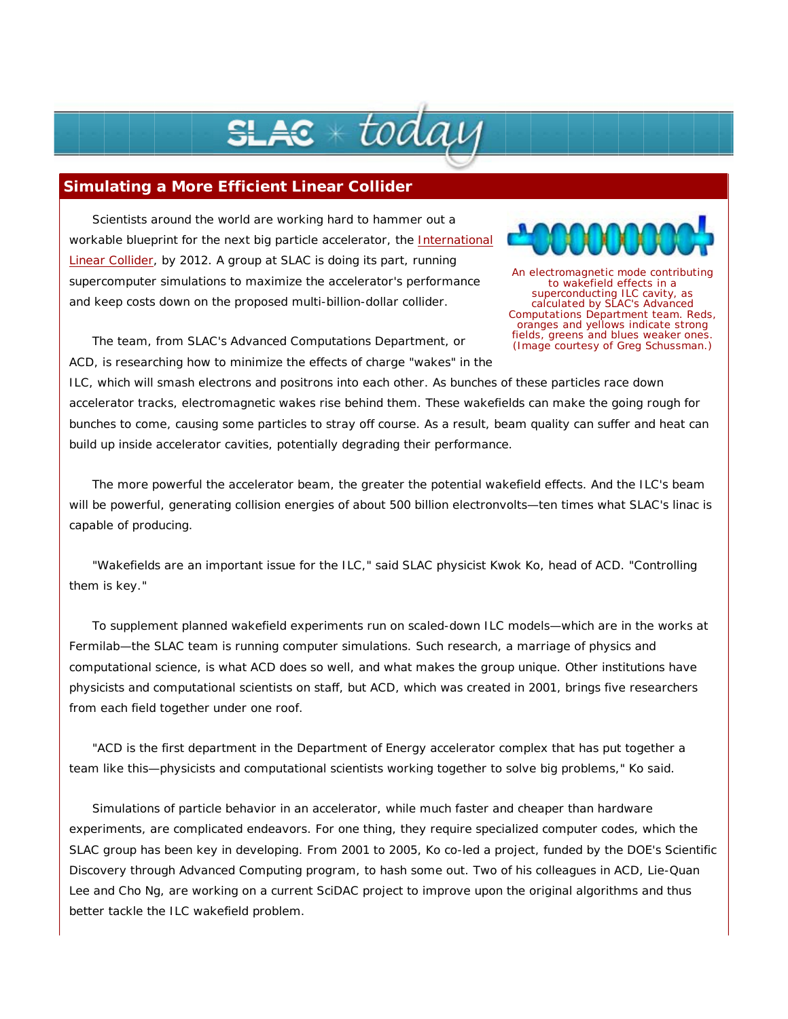## $\boldsymbol{\varepsilon}\ast$  todai

## **Simulating a More Efficient Linear Collider**

Scientists around the world are working hard to hammer out a workable blueprint for the next big particle accelerator, the International Linear Collider, by 2012. A group at SLAC is doing its part, running supercomputer simulations to maximize the accelerator's performance and keep costs down on the proposed multi-billion-dollar collider.



An electromagnetic mode contributing to wakefield effects in a superconducting ILC cavity, as calculated by SLAC's Advanced Computations Department team. Reds, oranges and yellows indicate strong fields, greens and blues weaker ones. (Image courtesy of Greg Schussman.)

The team, from SLAC's Advanced Computations Department, or ACD, is researching how to minimize the effects of charge "wakes" in the

ILC, which will smash electrons and positrons into each other. As bunches of these particles race down accelerator tracks, electromagnetic wakes rise behind them. These wakefields can make the going rough for bunches to come, causing some particles to stray off course. As a result, beam quality can suffer and heat can build up inside accelerator cavities, potentially degrading their performance.

The more powerful the accelerator beam, the greater the potential wakefield effects. And the ILC's beam will be powerful, generating collision energies of about 500 billion electronvolts—ten times what SLAC's linac is capable of producing.

"Wakefields are an important issue for the ILC," said SLAC physicist Kwok Ko, head of ACD. "Controlling them is key."

To supplement planned wakefield experiments run on scaled-down ILC models—which are in the works at Fermilab—the SLAC team is running computer simulations. Such research, a marriage of physics and computational science, is what ACD does so well, and what makes the group unique. Other institutions have physicists and computational scientists on staff, but ACD, which was created in 2001, brings five researchers from each field together under one roof.

"ACD is the first department in the Department of Energy accelerator complex that has put together a team like this—physicists and computational scientists working together to solve big problems," Ko said.

Simulations of particle behavior in an accelerator, while much faster and cheaper than hardware experiments, are complicated endeavors. For one thing, they require specialized computer codes, which the SLAC group has been key in developing. From 2001 to 2005, Ko co-led a project, funded by the DOE's Scientific Discovery through Advanced Computing program, to hash some out. Two of his colleagues in ACD, Lie-Quan Lee and Cho Ng, are working on a current SciDAC project to improve upon the original algorithms and thus better tackle the ILC wakefield problem.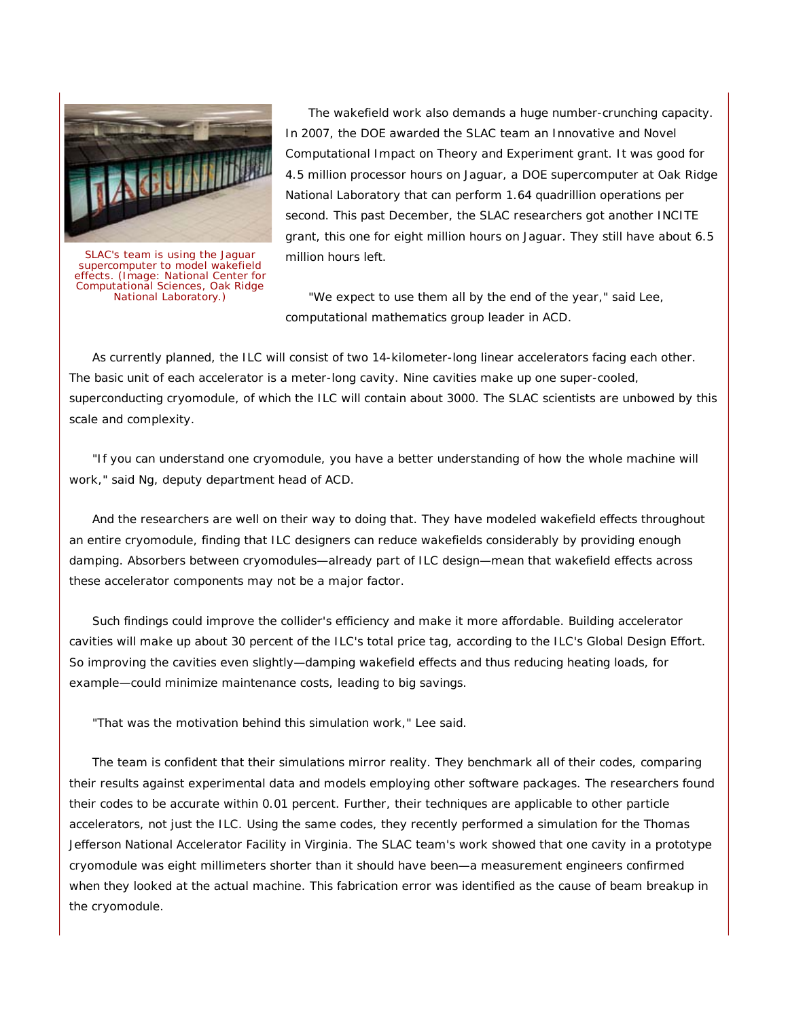

SLAC's team is using the Jaguar supercomputer to model wakefield effects. (Image: National Center for Computational Sciences, Oak Ridge National Laboratory.)

The wakefield work also demands a huge number-crunching capacity. In 2007, the DOE awarded the SLAC team an Innovative and Novel Computational Impact on Theory and Experiment grant. It was good for 4.5 million processor hours on Jaguar, a DOE supercomputer at Oak Ridge National Laboratory that can perform 1.64 quadrillion operations per second. This past December, the SLAC researchers got another INCITE grant, this one for eight million hours on Jaguar. They still have about 6.5 million hours left.

"We expect to use them all by the end of the year," said Lee, computational mathematics group leader in ACD.

As currently planned, the ILC will consist of two 14-kilometer-long linear accelerators facing each other. The basic unit of each accelerator is a meter-long cavity. Nine cavities make up one super-cooled, superconducting cryomodule, of which the ILC will contain about 3000. The SLAC scientists are unbowed by this scale and complexity.

"If you can understand one cryomodule, you have a better understanding of how the whole machine will work," said Ng, deputy department head of ACD.

And the researchers are well on their way to doing that. They have modeled wakefield effects throughout an entire cryomodule, finding that ILC designers can reduce wakefields considerably by providing enough damping. Absorbers between cryomodules—already part of ILC design—mean that wakefield effects across these accelerator components may not be a major factor.

Such findings could improve the collider's efficiency and make it more affordable. Building accelerator cavities will make up about 30 percent of the ILC's total price tag, according to the ILC's Global Design Effort. So improving the cavities even slightly—damping wakefield effects and thus reducing heating loads, for example—could minimize maintenance costs, leading to big savings.

"That was the motivation behind this simulation work," Lee said.

The team is confident that their simulations mirror reality. They benchmark all of their codes, comparing their results against experimental data and models employing other software packages. The researchers found their codes to be accurate within 0.01 percent. Further, their techniques are applicable to other particle accelerators, not just the ILC. Using the same codes, they recently performed a simulation for the Thomas Jefferson National Accelerator Facility in Virginia. The SLAC team's work showed that one cavity in a prototype cryomodule was eight millimeters shorter than it should have been—a measurement engineers confirmed when they looked at the actual machine. This fabrication error was identified as the cause of beam breakup in the cryomodule.